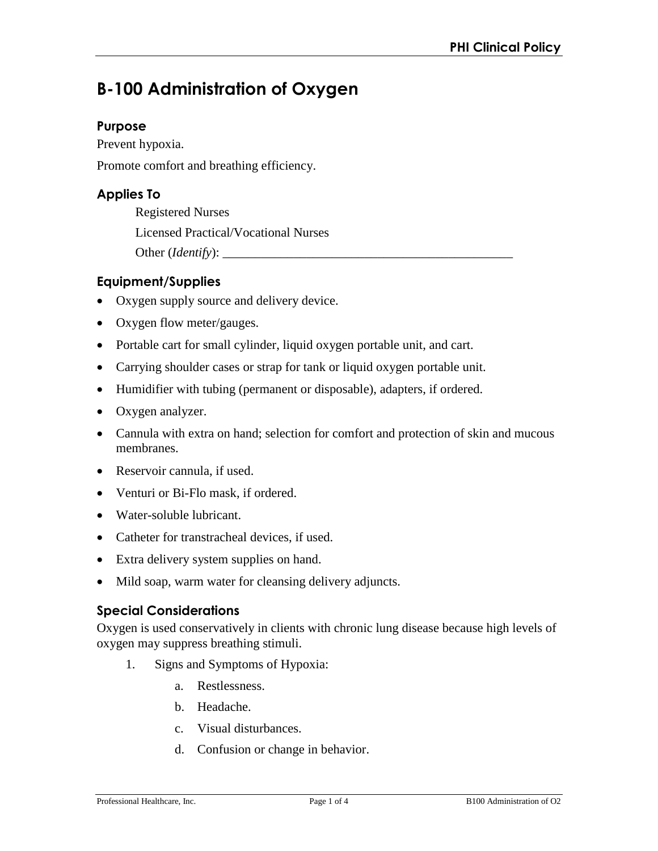# **B-100 Administration of Oxygen**

## **Purpose**

Prevent hypoxia.

Promote comfort and breathing efficiency.

# **Applies To**

Registered Nurses Licensed Practical/Vocational Nurses Other (*Identify*): \_\_\_\_\_\_\_\_\_\_\_\_\_\_\_\_\_\_\_\_\_\_\_\_\_\_\_\_\_\_\_\_\_\_\_\_\_\_\_\_\_\_\_\_\_

# **Equipment/Supplies**

- Oxygen supply source and delivery device.
- Oxygen flow meter/gauges.
- Portable cart for small cylinder, liquid oxygen portable unit, and cart.
- Carrying shoulder cases or strap for tank or liquid oxygen portable unit.
- Humidifier with tubing (permanent or disposable), adapters, if ordered.
- Oxygen analyzer.
- Cannula with extra on hand; selection for comfort and protection of skin and mucous membranes.
- Reservoir cannula, if used.
- Venturi or Bi-Flo mask, if ordered.
- Water-soluble lubricant.
- Catheter for transtracheal devices, if used.
- Extra delivery system supplies on hand.
- Mild soap, warm water for cleansing delivery adjuncts.

# **Special Considerations**

Oxygen is used conservatively in clients with chronic lung disease because high levels of oxygen may suppress breathing stimuli.

- 1. Signs and Symptoms of Hypoxia:
	- a. Restlessness.
	- b. Headache.
	- c. Visual disturbances.
	- d. Confusion or change in behavior.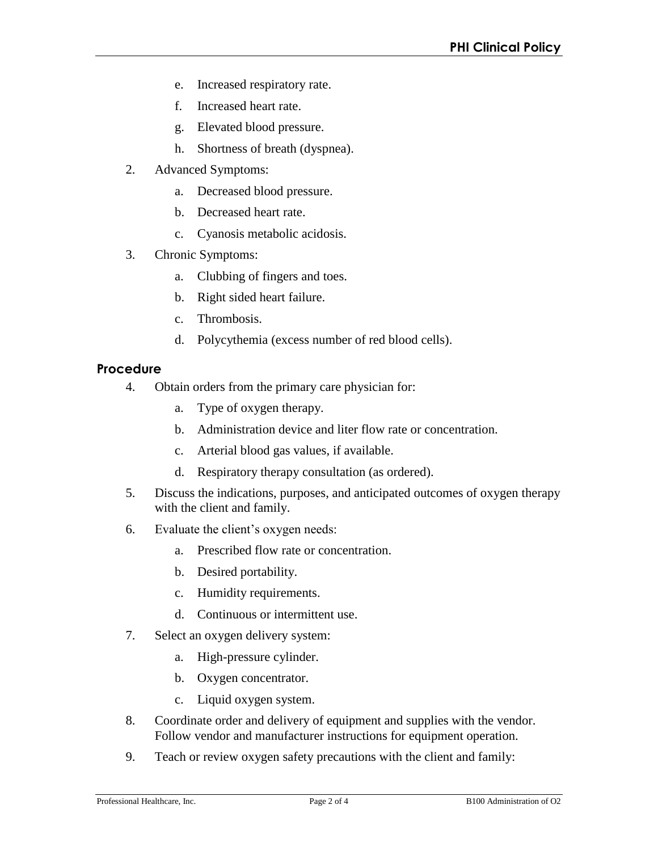- e. Increased respiratory rate.
- f. Increased heart rate.
- g. Elevated blood pressure.
- h. Shortness of breath (dyspnea).
- 2. Advanced Symptoms:
	- a. Decreased blood pressure.
	- b. Decreased heart rate.
	- c. Cyanosis metabolic acidosis.
- 3. Chronic Symptoms:
	- a. Clubbing of fingers and toes.
	- b. Right sided heart failure.
	- c. Thrombosis.
	- d. Polycythemia (excess number of red blood cells).

#### **Procedure**

- 4. Obtain orders from the primary care physician for:
	- a. Type of oxygen therapy.
	- b. Administration device and liter flow rate or concentration.
	- c. Arterial blood gas values, if available.
	- d. Respiratory therapy consultation (as ordered).
- 5. Discuss the indications, purposes, and anticipated outcomes of oxygen therapy with the client and family.
- 6. Evaluate the client's oxygen needs:
	- a. Prescribed flow rate or concentration.
	- b. Desired portability.
	- c. Humidity requirements.
	- d. Continuous or intermittent use.
- 7. Select an oxygen delivery system:
	- a. High-pressure cylinder.
	- b. Oxygen concentrator.
	- c. Liquid oxygen system.
- 8. Coordinate order and delivery of equipment and supplies with the vendor. Follow vendor and manufacturer instructions for equipment operation.
- 9. Teach or review oxygen safety precautions with the client and family: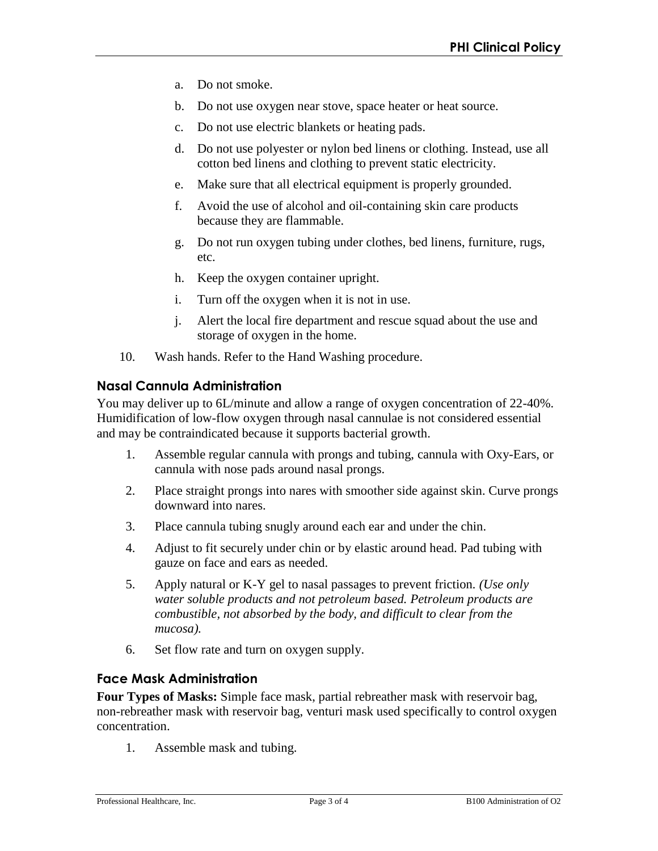- a. Do not smoke.
- b. Do not use oxygen near stove, space heater or heat source.
- c. Do not use electric blankets or heating pads.
- d. Do not use polyester or nylon bed linens or clothing. Instead, use all cotton bed linens and clothing to prevent static electricity.
- e. Make sure that all electrical equipment is properly grounded.
- f. Avoid the use of alcohol and oil-containing skin care products because they are flammable.
- g. Do not run oxygen tubing under clothes, bed linens, furniture, rugs, etc.
- h. Keep the oxygen container upright.
- i. Turn off the oxygen when it is not in use.
- j. Alert the local fire department and rescue squad about the use and storage of oxygen in the home.
- 10. Wash hands. Refer to the Hand Washing procedure.

## **Nasal Cannula Administration**

You may deliver up to 6L/minute and allow a range of oxygen concentration of 22-40%. Humidification of low-flow oxygen through nasal cannulae is not considered essential and may be contraindicated because it supports bacterial growth.

- 1. Assemble regular cannula with prongs and tubing, cannula with Oxy-Ears, or cannula with nose pads around nasal prongs.
- 2. Place straight prongs into nares with smoother side against skin. Curve prongs downward into nares.
- 3. Place cannula tubing snugly around each ear and under the chin.
- 4. Adjust to fit securely under chin or by elastic around head. Pad tubing with gauze on face and ears as needed.
- 5. Apply natural or K-Y gel to nasal passages to prevent friction*. (Use only water soluble products and not petroleum based. Petroleum products are combustible, not absorbed by the body, and difficult to clear from the mucosa).*
- 6. Set flow rate and turn on oxygen supply.

## **Face Mask Administration**

**Four Types of Masks:** Simple face mask, partial rebreather mask with reservoir bag, non-rebreather mask with reservoir bag, venturi mask used specifically to control oxygen concentration.

1. Assemble mask and tubing.